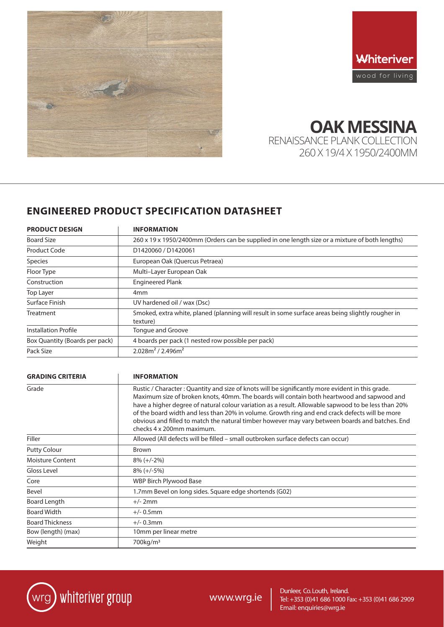



**OAK MESSINA** RENAISSANCE PLANK COLLECTION

260 X 19/4 X 1950/2400MM

# **ENGINEERED PRODUCT SPECIFICATION DATASHEET**

| <b>PRODUCT DESIGN</b>          | <b>INFORMATION</b>                                                                                            |
|--------------------------------|---------------------------------------------------------------------------------------------------------------|
| <b>Board Size</b>              | 260 x 19 x 1950/2400mm (Orders can be supplied in one length size or a mixture of both lengths)               |
| Product Code                   | D1420060 / D1420061                                                                                           |
| <b>Species</b>                 | European Oak (Quercus Petraea)                                                                                |
| Floor Type                     | Multi-Layer European Oak                                                                                      |
| Construction                   | <b>Engineered Plank</b>                                                                                       |
| Top Layer                      | 4 <sub>mm</sub>                                                                                               |
| Surface Finish                 | UV hardened oil / wax (Dsc)                                                                                   |
| Treatment                      | Smoked, extra white, planed (planning will result in some surface areas being slightly rougher in<br>texture) |
| <b>Installation Profile</b>    | Tongue and Groove                                                                                             |
| Box Quantity (Boards per pack) | 4 boards per pack (1 nested row possible per pack)                                                            |
| Pack Size                      | $2.028m2 / 2.496m2$                                                                                           |

| <b>GRADING CRITERIA</b> | <b>INFORMATION</b>                                                                                                                                                                                                                                                                                                                                                                                                                                                                                                                       |
|-------------------------|------------------------------------------------------------------------------------------------------------------------------------------------------------------------------------------------------------------------------------------------------------------------------------------------------------------------------------------------------------------------------------------------------------------------------------------------------------------------------------------------------------------------------------------|
| Grade                   | Rustic / Character : Quantity and size of knots will be significantly more evident in this grade.<br>Maximum size of broken knots, 40mm. The boards will contain both heartwood and sapwood and<br>have a higher degree of natural colour variation as a result. Allowable sapwood to be less than 20%<br>of the board width and less than 20% in volume. Growth ring and end crack defects will be more<br>obvious and filled to match the natural timber however may vary between boards and batches. End<br>checks 4 x 200mm maximum. |
| Filler                  | Allowed (All defects will be filled – small outbroken surface defects can occur)                                                                                                                                                                                                                                                                                                                                                                                                                                                         |
| <b>Putty Colour</b>     | <b>Brown</b>                                                                                                                                                                                                                                                                                                                                                                                                                                                                                                                             |
| <b>Moisture Content</b> | $8\% (+/-2\%)$                                                                                                                                                                                                                                                                                                                                                                                                                                                                                                                           |
| Gloss Level             | $8\% (+/-5\%)$                                                                                                                                                                                                                                                                                                                                                                                                                                                                                                                           |
| Core                    | <b>WBP Birch Plywood Base</b>                                                                                                                                                                                                                                                                                                                                                                                                                                                                                                            |
| Bevel                   | 1.7mm Bevel on long sides. Square edge shortends (G02)                                                                                                                                                                                                                                                                                                                                                                                                                                                                                   |
| Board Length            | $+/- 2mm$                                                                                                                                                                                                                                                                                                                                                                                                                                                                                                                                |
| <b>Board Width</b>      | $+/- 0.5$ mm                                                                                                                                                                                                                                                                                                                                                                                                                                                                                                                             |
| <b>Board Thickness</b>  | $+/- 0.3$ mm                                                                                                                                                                                                                                                                                                                                                                                                                                                                                                                             |
| Bow (length) (max)      | 10mm per linear metre                                                                                                                                                                                                                                                                                                                                                                                                                                                                                                                    |
| Weight                  | 700kg/m <sup>3</sup>                                                                                                                                                                                                                                                                                                                                                                                                                                                                                                                     |



Dunleer, Co. Louth, Ireland.<br>WWW.WIG.ie Tel: +353 (0)41 686 1000 F. Dunieer, Co. Louth, Ireland. WWW.Wrg.ie | Dunleer, Co. Louth, Ireland.<br>WWW.Wrg.ie | Tel: +353 (0)41 686 1000 Fax: +353 (0)41 686 2909 Email: enquiries@wrg.ie